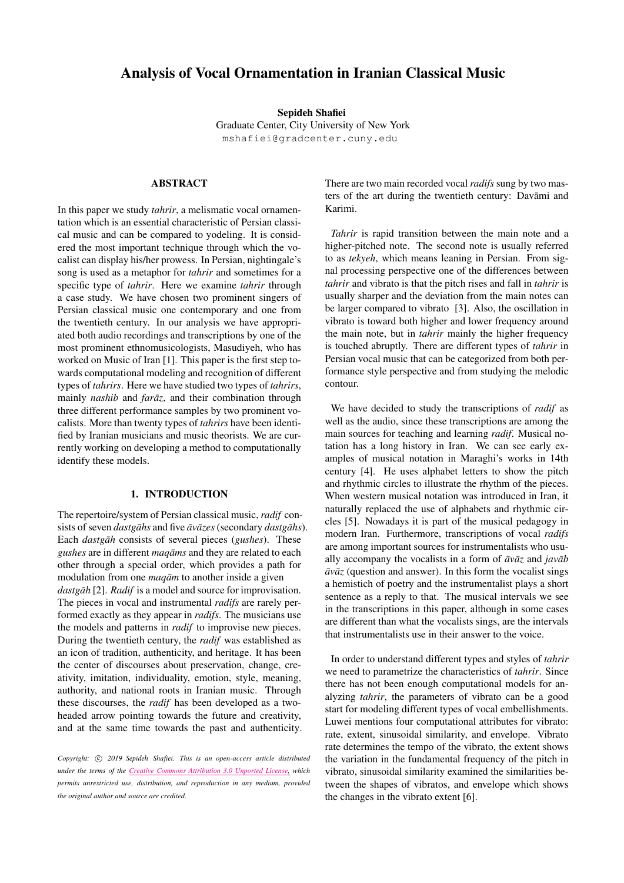# Analysis of Vocal Ornamentation in Iranian Classical Music

Sepideh Shafiei

Graduate Center, City University of New York [mshafiei@gradcenter.cuny.edu](mailto:mshafiei@gradcenter.cuny.edu )

# ABSTRACT

In this paper we study *tahrir*, a melismatic vocal ornamentation which is an essential characteristic of Persian classical music and can be compared to yodeling. It is considered the most important technique through which the vocalist can display his/her prowess. In Persian, nightingale's song is used as a metaphor for *tahrir* and sometimes for a specific type of *tahrir*. Here we examine *tahrir* through a case study. We have chosen two prominent singers of Persian classical music one contemporary and one from the twentieth century. In our analysis we have appropriated both audio recordings and transcriptions by one of the most prominent ethnomusicologists, Masudiyeh, who has worked on Music of Iran [\[1\]](#page-3-0). This paper is the first step towards computational modeling and recognition of different types of *tahrirs*. Here we have studied two types of *tahrirs*, mainly *nashib* and *faraz*, and their combination through three different performance samples by two prominent vocalists. More than twenty types of *tahrirs* have been identified by Iranian musicians and music theorists. We are currently working on developing a method to computationally identify these models.

#### 1. INTRODUCTION

The repertoire/system of Persian classical music, *radif* consists of seven *dastgāhs* and five  $\bar{a}v\bar{a}zes$  (secondary *dastgāhs*). Each *dastgah* consists of several pieces (*gushes*). These *gushes* are in different *maqams* and they are related to each other through a special order, which provides a path for modulation from one *maqam* to another inside a given *dastgāh* [\[2\]](#page-3-1). *Radif* is a model and source for improvisation. The pieces in vocal and instrumental *radifs* are rarely performed exactly as they appear in *radifs*. The musicians use the models and patterns in *radif* to improvise new pieces. During the twentieth century, the *radif* was established as an icon of tradition, authenticity, and heritage. It has been the center of discourses about preservation, change, creativity, imitation, individuality, emotion, style, meaning, authority, and national roots in Iranian music. Through these discourses, the *radif* has been developed as a twoheaded arrow pointing towards the future and creativity, and at the same time towards the past and authenticity.

Copyright:  $\circ$  2019 Sepideh Shafiei. This is an open-access article distributed *under the terms of the Creative Commons [Attribution](http://creativecommons.org/licenses/by/3.0/) 3.0 Unported License, which permits unrestricted use, distribution, and reproduction in any medium, provided the original author and source are credited.*

There are two main recorded vocal *radifs* sung by two masters of the art during the twentieth century: Davāmi and Karimi.

*Tahrir* is rapid transition between the main note and a higher-pitched note. The second note is usually referred to as *tekyeh*, which means leaning in Persian. From signal processing perspective one of the differences between *tahrir* and vibrato is that the pitch rises and fall in *tahrir* is usually sharper and the deviation from the main notes can be larger compared to vibrato [\[3\]](#page-3-2). Also, the oscillation in vibrato is toward both higher and lower frequency around the main note, but in *tahrir* mainly the higher frequency is touched abruptly. There are different types of *tahrir* in Persian vocal music that can be categorized from both performance style perspective and from studying the melodic contour.

We have decided to study the transcriptions of *radif* as well as the audio, since these transcriptions are among the main sources for teaching and learning *radif*. Musical notation has a long history in Iran. We can see early examples of musical notation in Maraghi's works in 14th century [\[4\]](#page-3-3). He uses alphabet letters to show the pitch and rhythmic circles to illustrate the rhythm of the pieces. When western musical notation was introduced in Iran, it naturally replaced the use of alphabets and rhythmic circles [\[5\]](#page-3-4). Nowadays it is part of the musical pedagogy in modern Iran. Furthermore, transcriptions of vocal *radifs* are among important sources for instrumentalists who usually accompany the vocalists in a form of  $\bar{a}v\bar{a}z$  and  $i\alpha v\bar{a}b$  $\bar{a}v\bar{a}z$  (question and answer). In this form the vocalist sings a hemistich of poetry and the instrumentalist plays a short sentence as a reply to that. The musical intervals we see in the transcriptions in this paper, although in some cases are different than what the vocalists sings, are the intervals that instrumentalists use in their answer to the voice.

In order to understand different types and styles of *tahrir* we need to parametrize the characteristics of *tahrir*. Since there has not been enough computational models for analyzing *tahrir*, the parameters of vibrato can be a good start for modeling different types of vocal embellishments. Luwei mentions four computational attributes for vibrato: rate, extent, sinusoidal similarity, and envelope. Vibrato rate determines the tempo of the vibrato, the extent shows the variation in the fundamental frequency of the pitch in vibrato, sinusoidal similarity examined the similarities between the shapes of vibratos, and envelope which shows the changes in the vibrato extent [\[6\]](#page-3-5).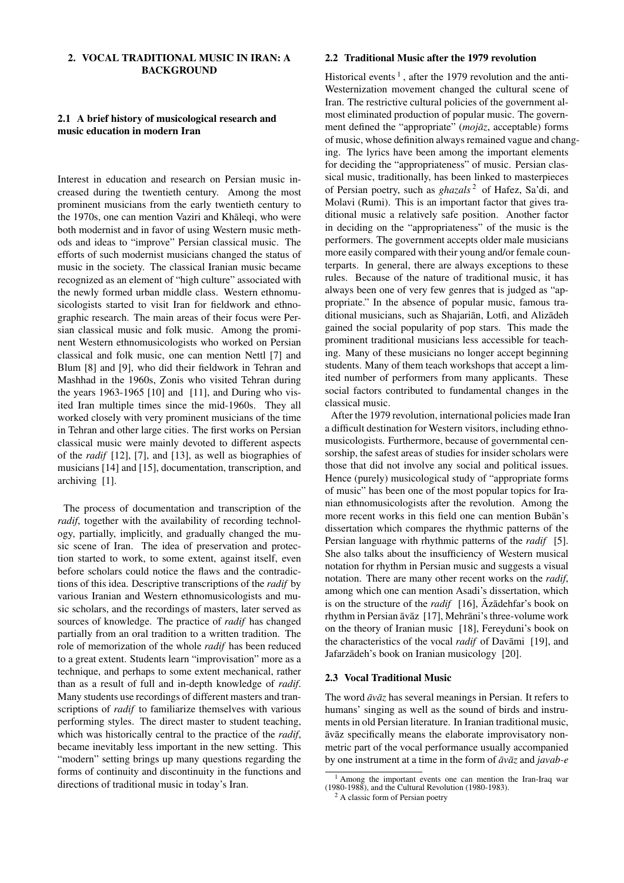# 2. VOCAL TRADITIONAL MUSIC IN IRAN: A BACKGROUND

# 2.1 A brief history of musicological research and music education in modern Iran

Interest in education and research on Persian music increased during the twentieth century. Among the most prominent musicians from the early twentieth century to the 1970s, one can mention Vaziri and Khaleqi, who were both modernist and in favor of using Western music methods and ideas to "improve" Persian classical music. The efforts of such modernist musicians changed the status of music in the society. The classical Iranian music became recognized as an element of "high culture" associated with the newly formed urban middle class. Western ethnomusicologists started to visit Iran for fieldwork and ethnographic research. The main areas of their focus were Persian classical music and folk music. Among the prominent Western ethnomusicologists who worked on Persian classical and folk music, one can mention Nettl [\[7\]](#page-3-6) and Blum [\[8\]](#page-3-7) and [\[9\]](#page-3-8), who did their fieldwork in Tehran and Mashhad in the 1960s, Zonis who visited Tehran during the years  $1963-1965$  [\[10\]](#page-3-9) and [\[11\]](#page-3-10), and During who visited Iran multiple times since the mid-1960s. They all worked closely with very prominent musicians of the time in Tehran and other large cities. The first works on Persian classical music were mainly devoted to different aspects of the *radif* [\[12\]](#page-3-11), [\[7\]](#page-3-6), and [\[13\]](#page-3-12), as well as biographies of musicians [\[14\]](#page-3-13) and [\[15\]](#page-3-14), documentation, transcription, and archiving [\[1\]](#page-3-0).

The process of documentation and transcription of the *radif*, together with the availability of recording technology, partially, implicitly, and gradually changed the music scene of Iran. The idea of preservation and protection started to work, to some extent, against itself, even before scholars could notice the flaws and the contradictions of this idea. Descriptive transcriptions of the *radif* by various Iranian and Western ethnomusicologists and music scholars, and the recordings of masters, later served as sources of knowledge. The practice of *radif* has changed partially from an oral tradition to a written tradition. The role of memorization of the whole *radif* has been reduced to a great extent. Students learn "improvisation" more as a technique, and perhaps to some extent mechanical, rather than as a result of full and in-depth knowledge of *radif*. Many students use recordings of different masters and transcriptions of *radif* to familiarize themselves with various performing styles. The direct master to student teaching, which was historically central to the practice of the *radif*, became inevitably less important in the new setting. This "modern" setting brings up many questions regarding the forms of continuity and discontinuity in the functions and directions of traditional music in today's Iran.

## 2.2 Traditional Music after the 1979 revolution

Historical events<sup>[1](#page-1-0)</sup>, after the 1979 revolution and the anti-Westernization movement changed the cultural scene of Iran. The restrictive cultural policies of the government almost eliminated production of popular music. The government defined the "appropriate" (*mojāz*, acceptable) forms of music, whose definition always remained vague and changing. The lyrics have been among the important elements for deciding the "appropriateness" of music. Persian classical music, traditionally, has been linked to masterpieces of Persian poetry, such as *ghazals*<sup>[2](#page-1-1)</sup> of Hafez, Sa'di, and Molavi (Rumi). This is an important factor that gives traditional music a relatively safe position. Another factor in deciding on the "appropriateness" of the music is the performers. The government accepts older male musicians more easily compared with their young and/or female counterparts. In general, there are always exceptions to these rules. Because of the nature of traditional music, it has always been one of very few genres that is judged as "appropriate." In the absence of popular music, famous traditional musicians, such as Shajarian, Lotfi, and Alizadeh gained the social popularity of pop stars. This made the prominent traditional musicians less accessible for teaching. Many of these musicians no longer accept beginning students. Many of them teach workshops that accept a limited number of performers from many applicants. These social factors contributed to fundamental changes in the classical music.

After the 1979 revolution, international policies made Iran a difficult destination for Western visitors, including ethnomusicologists. Furthermore, because of governmental censorship, the safest areas of studies for insider scholars were those that did not involve any social and political issues. Hence (purely) musicological study of "appropriate forms of music" has been one of the most popular topics for Iranian ethnomusicologists after the revolution. Among the more recent works in this field one can mention Buban's dissertation which compares the rhythmic patterns of the Persian language with rhythmic patterns of the *radif* [\[5\]](#page-3-4). She also talks about the insufficiency of Western musical notation for rhythm in Persian music and suggests a visual notation. There are many other recent works on the *radif*, among which one can mention Asadi's dissertation, which is on the structure of the *radif* [\[16\]](#page-4-0),  $\bar{A}z\bar{a}$  dehfar's book on rhythm in Persian āvāz [[17\]](#page-4-1), Mehrāni's three-volume work on the theory of Iranian music [\[18\]](#page-4-2), Fereyduni's book on the characteristics of the vocal *radif* of Davāmi [[19\]](#page-4-3), and Jafarzādeh's book on Iranian musicology [[20\]](#page-4-4).

## 2.3 Vocal Traditional Music

The word  $\bar{a}v\bar{a}z$  has several meanings in Persian. It refers to humans' singing as well as the sound of birds and instruments in old Persian literature. In Iranian traditional music,  $\bar{a}$ v $\bar{a}z$  specifically means the elaborate improvisatory nonmetric part of the vocal performance usually accompanied by one instrument at a time in the form of  $\bar{a}v\bar{a}z$  and *javab-e* 

<span id="page-1-0"></span><sup>&</sup>lt;sup>1</sup> Among the important events one can mention the Iran-Iraq war (1980-1988), and the Cultural Revolution (1980-1983).

<span id="page-1-1"></span><sup>2</sup> A classic form of Persian poetry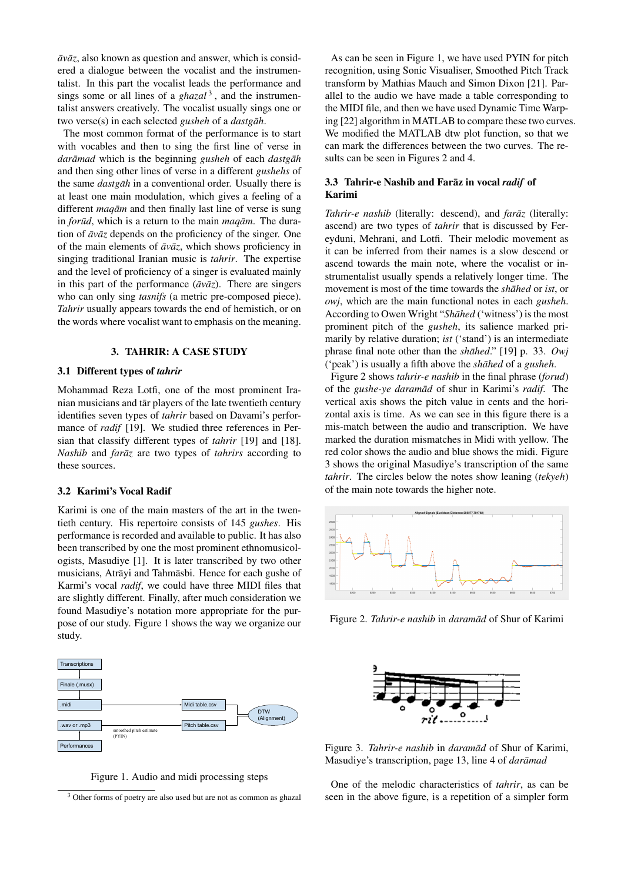$\bar{a}v\bar{a}z$ , also known as question and answer, which is considered a dialogue between the vocalist and the instrumentalist. In this part the vocalist leads the performance and sings some or all lines of a *ghazal*<sup>[3](#page-2-0)</sup>, and the instrumentalist answers creatively. The vocalist usually sings one or two verse(s) in each selected *gusheh* of a *dastgah*.

The most common format of the performance is to start with vocables and then to sing the first line of verse in *darāmad* which is the beginning *gusheh* of each *dastgāh* and then sing other lines of verse in a different *gushehs* of the same *dastgah* in a conventional order. Usually there is at least one main modulation, which gives a feeling of a different *magam* and then finally last line of verse is sung in *forūd*, which is a return to the main *maqām*. The duration of  $\bar{a}v\bar{a}z$  depends on the proficiency of the singer. One of the main elements of  $\bar{a}v\bar{a}z$ , which shows proficiency in singing traditional Iranian music is *tahrir*. The expertise and the level of proficiency of a singer is evaluated mainly in this part of the performance  $(\bar{a}v\bar{a}z)$ . There are singers who can only sing *tasnifs* (a metric pre-composed piece). *Tahrir* usually appears towards the end of hemistich, or on the words where vocalist want to emphasis on the meaning.

#### 3. TAHRIR: A CASE STUDY

## 3.1 Different types of *tahrir*

Mohammad Reza Lotfi, one of the most prominent Iranian musicians and tār players of the late twentieth century identifies seven types of *tahrir* based on Davami's performance of *radif* [\[19\]](#page-4-3). We studied three references in Persian that classify different types of *tahrir* [\[19\]](#page-4-3) and [\[18\]](#page-4-2). *Nashib* and *farāz* are two types of *tahrirs* according to these sources.

## 3.2 Karimi's Vocal Radif

Karimi is one of the main masters of the art in the twentieth century. His repertoire consists of 145 *gushes*. His performance is recorded and available to public. It has also been transcribed by one the most prominent ethnomusicologists, Masudiye [\[1\]](#page-3-0). It is later transcribed by two other musicians, Atrāyi and Tahmāsbi. Hence for each gushe of Karmi's vocal *radif*, we could have three MIDI files that are slightly different. Finally, after much consideration we found Masudiye's notation more appropriate for the purpose of our study. Figure 1 shows the way we organize our study.



Figure 1. Audio and midi processing steps

As can be seen in Figure 1, we have used PYIN for pitch recognition, using Sonic Visualiser, Smoothed Pitch Track transform by Mathias Mauch and Simon Dixon [\[21\]](#page-4-5). Parallel to the audio we have made a table corresponding to the MIDI file, and then we have used Dynamic Time Warping [\[22\]](#page-4-6) algorithm in MATLAB to compare these two curves. We modified the MATLAB dtw plot function, so that we can mark the differences between the two curves. The results can be seen in Figures 2 and 4.

## 3.3 Tahrir-e Nashib and Faraz in vocal *radif* of Karimi

*Tahrir-e nashib* (literally: descend), and *farāz* (literally: ascend) are two types of *tahrir* that is discussed by Fereyduni, Mehrani, and Lotfi. Their melodic movement as it can be inferred from their names is a slow descend or ascend towards the main note, where the vocalist or instrumentalist usually spends a relatively longer time. The movement is most of the time towards the *shahed* or *ist*, or *owj*, which are the main functional notes in each *gusheh*. According to Owen Wright "*Shāhed* ('witness') is the most prominent pitch of the *gusheh*, its salience marked primarily by relative duration; *ist* ('stand') is an intermediate phrase final note other than the *shahed*." [19] p. 33. *Owj* ('peak') is usually a fifth above the *shahed* of a *gusheh*.

Figure 2 shows *tahrir-e nashib* in the final phrase (*forud*) of the *gushe-ye daramad¯* of shur in Karimi's *radif*. The vertical axis shows the pitch value in cents and the horizontal axis is time. As we can see in this figure there is a mis-match between the audio and transcription. We have marked the duration mismatches in Midi with yellow. The red color shows the audio and blue shows the midi. Figure 3 shows the original Masudiye's transcription of the same *tahrir*. The circles below the notes show leaning (*tekyeh*) of the main note towards the higher note.



Figure 2. *Tahrir-e nashib* in *daramad* of Shur of Karimi



Figure 3. *Tahrir-e nashib* in *daramad* of Shur of Karimi, Masudiye's transcription, page 13, line 4 of *darāmad* 

One of the melodic characteristics of *tahrir*, as can be seen in the above figure, is a repetition of a simpler form

<span id="page-2-0"></span><sup>&</sup>lt;sup>3</sup> Other forms of poetry are also used but are not as common as ghazal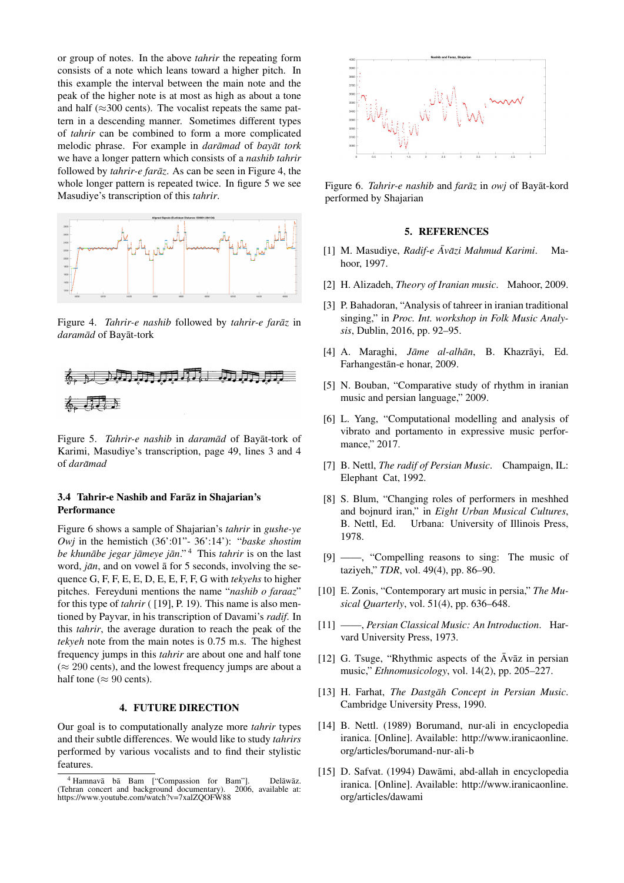or group of notes. In the above *tahrir* the repeating form consists of a note which leans toward a higher pitch. In this example the interval between the main note and the peak of the higher note is at most as high as about a tone and half ( $\approx$ 300 cents). The vocalist repeats the same pattern in a descending manner. Sometimes different types of *tahrir* can be combined to form a more complicated melodic phrase. For example in *darāmad* of *bayāt tork* we have a longer pattern which consists of a *nashib tahrir* followed by *tahrir-e farāz*. As can be seen in Figure 4, the whole longer pattern is repeated twice. In figure 5 we see Masudiye's transcription of this *tahrir*.



Figure 4. *Tahrir-e nashib* followed by *tahrir-e farāz* in *daramad¯* of Bayat-tork ¯



Figure 5. *Tahrir-e nashib* in *daramad* of Bayat-tork of Karimi, Masudiye's transcription, page 49, lines 3 and 4 of *daramad ¯*

# 3.4 Tahrir-e Nashib and Faraz in Shajarian's ¯ Performance

Figure 6 shows a sample of Shajarian's *tahrir* in *gushe-ye Owj* in the hemistich (36':01"- 36':14'): "*baske shostim be khunābe jegar jāmeye jān*."<sup>[4](#page-3-15)</sup> This *tahrir* is on the last word, *jān*, and on vowel  $\bar{a}$  for 5 seconds, involving the sequence G, F, F, E, E, D, E, E, F, F, G with *tekyehs* to higher pitches. Fereyduni mentions the name "*nashib o faraaz*" for this type of *tahrir* ( [\[19\]](#page-4-3), P. 19). This name is also mentioned by Payvar, in his transcription of Davami's *radif*. In this *tahrir*, the average duration to reach the peak of the *tekyeh* note from the main notes is 0.75 m.s. The highest frequency jumps in this *tahrir* are about one and half tone  $(\approx 290 \text{ cents})$ , and the lowest frequency jumps are about a half tone ( $\approx 90$  cents).

## 4. FUTURE DIRECTION

Our goal is to computationally analyze more *tahrir* types and their subtle differences. We would like to study *tahrirs* performed by various vocalists and to find their stylistic features.



Figure 6. *Tahrir-e nashib* and *farāz* in *owj* of Bayat-kord performed by Shajarian

## 5. REFERENCES

- <span id="page-3-0"></span>[1] M. Masudiye, *Radif-e Āvāzi Mahmud Karimi*. Mahoor, 1997.
- <span id="page-3-1"></span>[2] H. Alizadeh, *Theory of Iranian music*. Mahoor, 2009.
- <span id="page-3-2"></span>[3] P. Bahadoran, "Analysis of tahreer in iranian traditional singing," in *Proc. Int. workshop in Folk Music Analysis*, Dublin, 2016, pp. 92–95.
- <span id="page-3-3"></span>[4] A. Maraghi, *Jāme al-alhān*, B. Khazrāyi, Ed. Farhangestān-e honar, 2009.
- <span id="page-3-4"></span>[5] N. Bouban, "Comparative study of rhythm in iranian music and persian language," 2009.
- <span id="page-3-5"></span>[6] L. Yang, "Computational modelling and analysis of vibrato and portamento in expressive music performance," 2017.
- <span id="page-3-6"></span>[7] B. Nettl, *The radif of Persian Music*. Champaign, IL: Elephant Cat, 1992.
- <span id="page-3-7"></span>[8] S. Blum, "Changing roles of performers in meshhed and bojnurd iran," in *Eight Urban Musical Cultures*, B. Nettl, Ed. Urbana: University of Illinois Press, 1978.
- <span id="page-3-8"></span>[9] ——, "Compelling reasons to sing: The music of taziyeh," *TDR*, vol. 49(4), pp. 86–90.
- <span id="page-3-9"></span>[10] E. Zonis, "Contemporary art music in persia," *The Musical Quarterly*, vol. 51(4), pp. 636–648.
- <span id="page-3-10"></span>[11] ——, *Persian Classical Music: An Introduction*. Harvard University Press, 1973.
- <span id="page-3-11"></span>[12] G. Tsuge, "Rhythmic aspects of the  $\bar{A}$ vāz in persian music," *Ethnomusicology*, vol. 14(2), pp. 205–227.
- <span id="page-3-12"></span>[13] H. Farhat, *The Dastgāh Concept in Persian Music*. Cambridge University Press, 1990.
- <span id="page-3-13"></span>[14] B. Nettl. (1989) Borumand, nur-ali in encyclopedia iranica. [Online]. Available: [http://www.iranicaonline.](http://www.iranicaonline.org/articles/borumand-nur-ali-b) [org/articles/borumand-nur-ali-b](http://www.iranicaonline.org/articles/borumand-nur-ali-b)
- <span id="page-3-14"></span>[15] D. Safvat. (1994) Dawāmi, abd-allah in encyclopedia iranica. [Online]. Available: [http://www.iranicaonline.](http://www.iranicaonline.org/articles/dawami) [org/articles/dawami](http://www.iranicaonline.org/articles/dawami)

<span id="page-3-15"></span> $4$  Hamnavā bā Bam ["Compassion for Bam"]. Delāwāz.<br>ehran concert and background documentary). 2006. available at: (Tehran concert and background documentary). https://www.youtube.com/watch?v=7xalZQOFW88